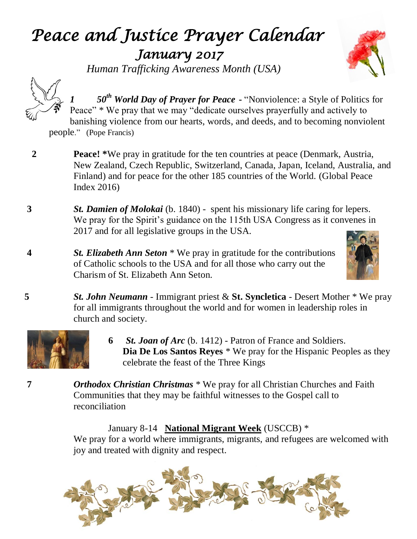# *Peace and Justice Prayer Calendar January 2017*

 *Human Trafficking Awareness Month (USA)*





*1 50th World Day of Prayer for Peace* **-** "Nonviolence: a Style of Politics for Peace" \* We pray that we may "dedicate ourselves prayerfully and actively to banishing violence from our hearts, words, and deeds, and to becoming nonviolent people." (Pope Francis)

- **2 Peace! \***We pray in gratitude for the ten countries at peace (Denmark, Austria, New Zealand, Czech Republic, Switzerland, Canada, Japan, Iceland, Australia, and Finland) and for peace for the other 185 countries of the World. (Global Peace Index 2016)
- **3** *St. Damien of Molokai* (b. 1840) spent his missionary life caring for lepers. We pray for the Spirit's guidance on the 115th USA Congress as it convenes in 2017 and for all legislative groups in the USA.
- **4** *St. Elizabeth Ann Seton* \* We pray in gratitude for the contributions of Catholic schools to the USA and for all those who carry out the Charism of St. Elizabeth Ann Seton.



**5** *St. John Neumann* - Immigrant priest & **St. Syncletica** - Desert Mother \* We pray for all immigrants throughout the world and for women in leadership roles in church and society.



- **6** *St. Joan of Arc* (b. 1412) Patron of France and Soldiers.  **Dia De Los Santos Reyes** \* We pray for the Hispanic Peoples as they celebrate the feast of the Three Kings
- **7** *Orthodox Christian Christmas* \* We pray for all Christian Churches and Faith Communities that they may be faithful witnesses to the Gospel call to reconciliation

January 8-14 **National Migrant Week** (USCCB) \* We pray for a world where immigrants, migrants, and refugees are welcomed with joy and treated with dignity and respect.

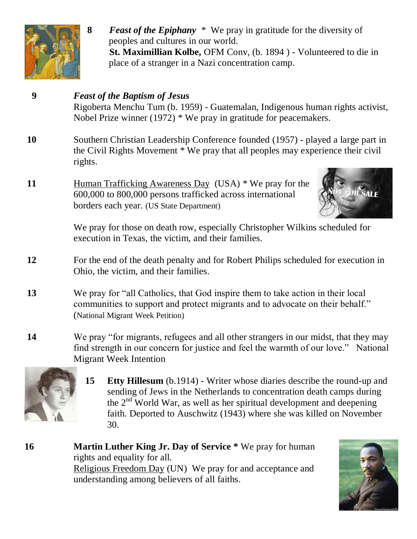

**8** *Feast of the Epiphany* \* We pray in gratitude for the diversity of peoples and cultures in our world. **St. Maximillian Kolbe,** OFM Conv, (b. 1894 ) - Volunteered to die in place of a stranger in a Nazi concentration camp.

# **9** *Feast of the Baptism of Jesus* Rigoberta Menchu Tum (b. 1959) - Guatemalan, Indigenous human rights activist, Nobel Prize winner (1972) \* We pray in gratitude for peacemakers. **10** Southern Christian Leadership Conference founded (1957) - played a large part in the Civil Rights Movement \* We pray that all peoples may experience their civil rights. **11** Human Trafficking Awareness Day (USA) \* We pray for the 600,000 to 800,000 persons trafficked across international borders each year. (US State Department) We pray for those on death row, especially Christopher Wilkins scheduled for execution in Texas, the victim, and their families. **12** For the end of the death penalty and for Robert Philips scheduled for execution in Ohio, the victim, and their families. **13** We pray for "all Catholics, that God inspire them to take action in their local communities to support and protect migrants and to advocate on their behalf." (National Migrant Week Petition) **14** We pray "for migrants, refugees and all other strangers in our midst, that they may find strength in our concern for justice and feel the warmth of our love." National Migrant Week Intention



- **15 Etty Hillesum** (b.1914) Writer whose diaries describe the round-up and sending of Jews in the Netherlands to concentration death camps during the  $2<sup>nd</sup>$  World War, as well as her spiritual development and deepening faith. Deported to Auschwitz (1943) where she was killed on November 30.
- **16 Martin Luther King Jr. Day of Service \*** We pray for human rights and equality for all. Religious Freedom Day (UN) We pray for and acceptance and understanding among believers of all faiths.

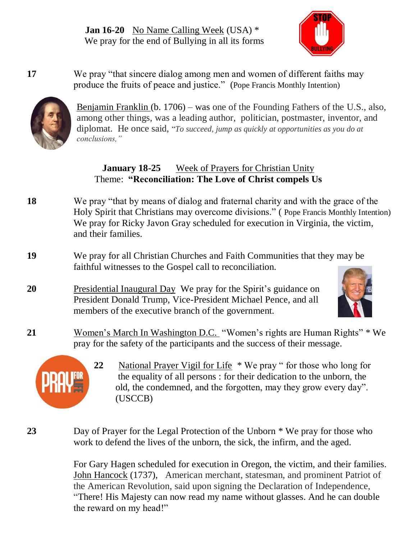**Jan 16-20** No Name Calling Week (USA) \* We pray for the end of Bullying in all its forms



**17** We pray "that sincere dialog among men and women of different faiths may produce the fruits of peace and justice." (Pope Francis Monthly Intention)



Benjamin Franklin (b. 1706) – was one of the Founding Fathers of the U.S., also, among other things, was a leading author, politician, postmaster, inventor, and diplomat. He once said, "*To succeed, jump as quickly at opportunities as you do at conclusions,"* 

#### **January 18-25** Week of Prayers for Christian Unity Theme: **"Reconciliation: The Love of Christ compels Us**

- **18** We pray "that by means of dialog and fraternal charity and with the grace of the Holy Spirit that Christians may overcome divisions." ( Pope Francis Monthly Intention) We pray for Ricky Javon Gray scheduled for execution in Virginia, the victim, and their families.
- **19** We pray for all Christian Churches and Faith Communities that they may be faithful witnesses to the Gospel call to reconciliation.
- **20** Presidential Inaugural Day We pray for the Spirit's guidance on President Donald Trump, Vice-President Michael Pence, and all members of the executive branch of the government.



**21** Women's March In Washington D.C. "Women's rights are Human Rights" \* We pray for the safety of the participants and the success of their message.



**22** National Prayer Vigil for Life \* We pray " for those who long for the equality of all persons : for their dedication to the unborn, the old, the condemned, and the forgotten, may they grow every day". (USCCB)

**23** Day of Prayer for the Legal Protection of the Unborn \* We pray for those who work to defend the lives of the unborn, the sick, the infirm, and the aged.

> For Gary Hagen scheduled for execution in Oregon, the victim, and their families. John Hancock (1737), American merchant, statesman, and prominent Patriot of the American Revolution, said upon signing the Declaration of Independence, ["There! His Majesty can now read my name without glasses. And he can double](http://www.inspiringquotes.us/quotes/xOZI_cRerMNvb)  [the reward on my head!"](http://www.inspiringquotes.us/quotes/xOZI_cRerMNvb)